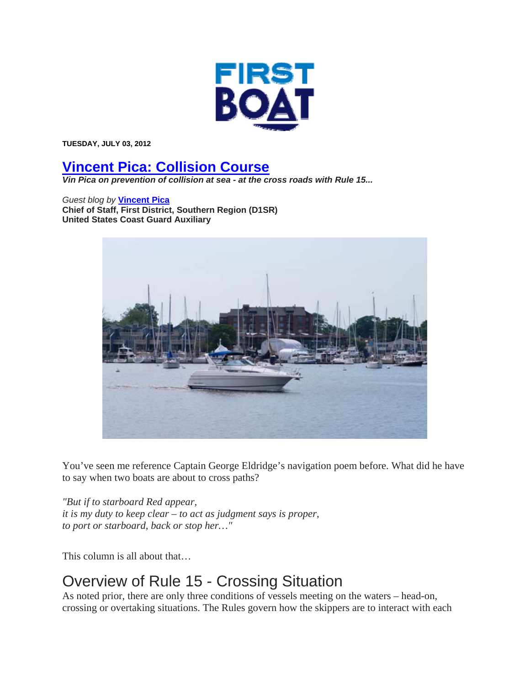

**TUESDAY, JULY 03, 2012** 

## **Vincent Pica: Collision Course**

*Vin Pica on prevention of collision at sea - at the cross roads with Rule 15...* 

*Guest blog by* **Vincent Pica Chief of Staff, First District, Southern Region (D1SR) United States Coast Guard Auxiliary**



You've seen me reference Captain George Eldridge's navigation poem before. What did he have to say when two boats are about to cross paths?

*"But if to starboard Red appear, it is my duty to keep clear – to act as judgment says is proper, to port or starboard, back or stop her…"*

This column is all about that…

## Overview of Rule 15 - Crossing Situation

As noted prior, there are only three conditions of vessels meeting on the waters – head-on, crossing or overtaking situations. The Rules govern how the skippers are to interact with each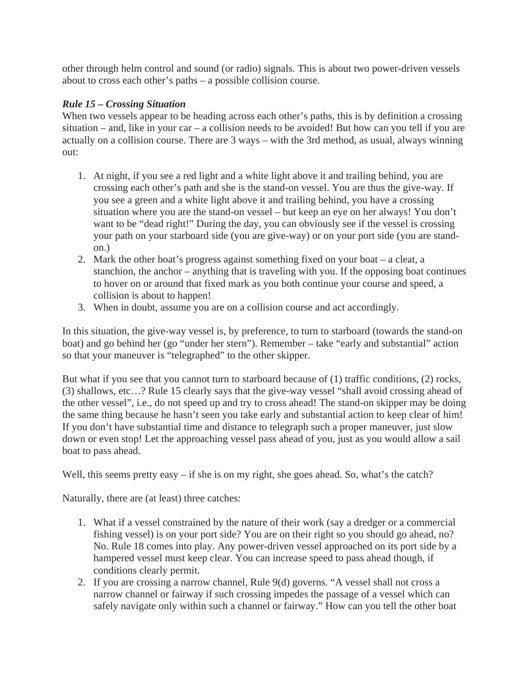other through helm control and sound (or radio) signals. This is about two power-driven vessels about to cross each other's paths – a possible collision course.

## *Rule 15 – Crossing Situation*

When two vessels appear to be heading across each other's paths, this is by definition a crossing situation – and, like in your car – a collision needs to be avoided! But how can you tell if you are actually on a collision course. There are 3 ways – with the 3rd method, as usual, always winning out:

- 1. At night, if you see a red light and a white light above it and trailing behind, you are crossing each other's path and she is the stand-on vessel. You are thus the give-way. If you see a green and a white light above it and trailing behind, you have a crossing situation where you are the stand-on vessel – but keep an eye on her always! You don't want to be "dead right!" During the day, you can obviously see if the vessel is crossing your path on your starboard side (you are give-way) or on your port side (you are standon.)
- 2. Mark the other boat's progress against something fixed on your boat a cleat, a stanchion, the anchor – anything that is traveling with you. If the opposing boat continues to hover on or around that fixed mark as you both continue your course and speed, a collision is about to happen!
- 3. When in doubt, assume you are on a collision course and act accordingly.

In this situation, the give-way vessel is, by preference, to turn to starboard (towards the stand-on boat) and go behind her (go "under her stern"). Remember – take "early and substantial" action so that your maneuver is "telegraphed" to the other skipper.

But what if you see that you cannot turn to starboard because of (1) traffic conditions, (2) rocks, (3) shallows, etc…? Rule 15 clearly says that the give-way vessel "shall avoid crossing ahead of the other vessel", i.e., do not speed up and try to cross ahead! The stand-on skipper may be doing the same thing because he hasn't seen you take early and substantial action to keep clear of him! If you don't have substantial time and distance to telegraph such a proper maneuver, just slow down or even stop! Let the approaching vessel pass ahead of you, just as you would allow a sail boat to pass ahead.

Well, this seems pretty easy – if she is on my right, she goes ahead. So, what's the catch?

Naturally, there are (at least) three catches:

- 1. What if a vessel constrained by the nature of their work (say a dredger or a commercial fishing vessel) is on your port side? You are on their right so you should go ahead, no? No. Rule 18 comes into play. Any power-driven vessel approached on its port side by a hampered vessel must keep clear. You can increase speed to pass ahead though, if conditions clearly permit.
- 2. If you are crossing a narrow channel, Rule 9(d) governs. "A vessel shall not cross a narrow channel or fairway if such crossing impedes the passage of a vessel which can safely navigate only within such a channel or fairway." How can you tell the other boat